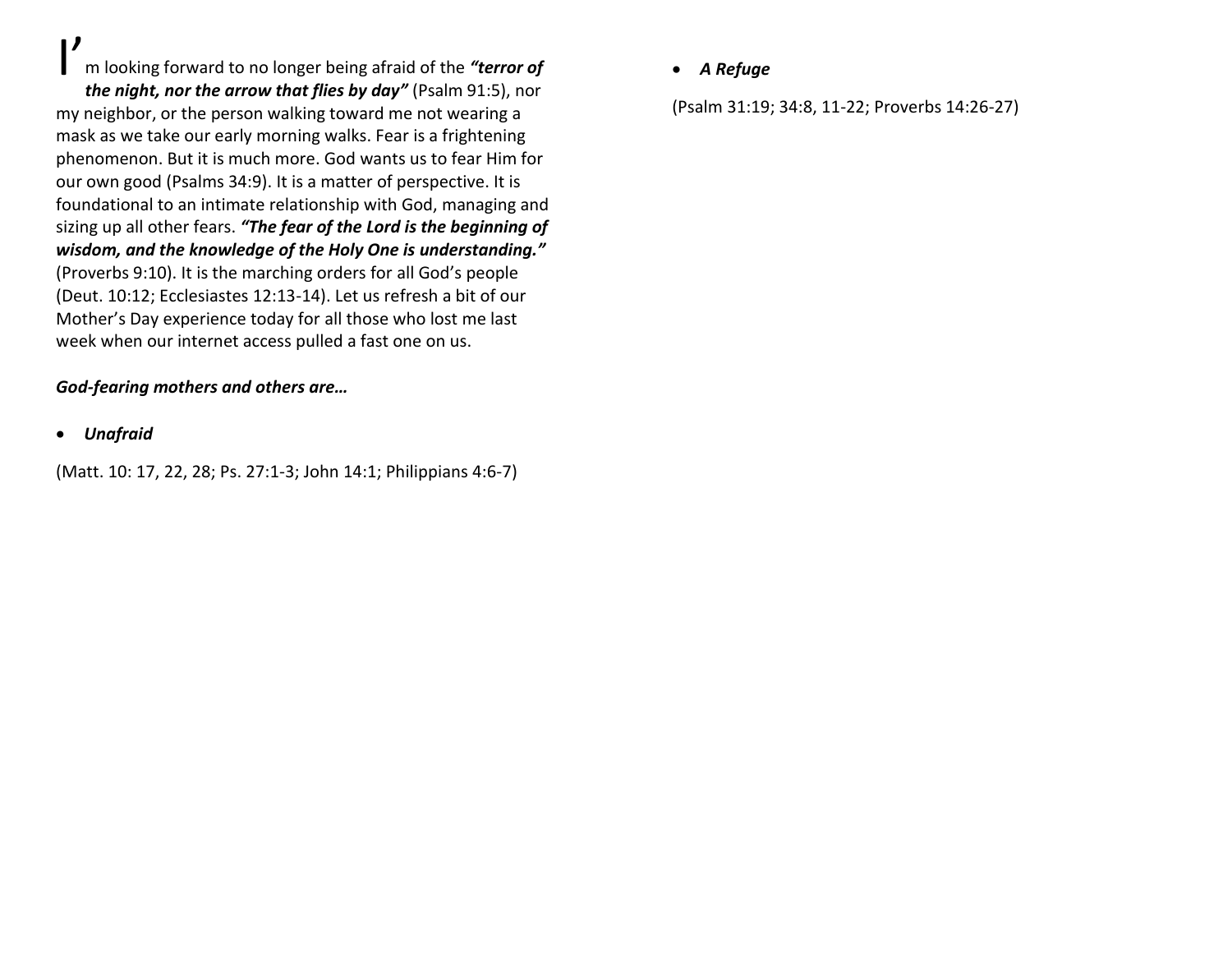I'

m looking forward to no longer being afraid of the *"terror of*

*the night, nor the arrow that flies by day"* (Psalm 91:5), nor my neighbor, or the person walking toward me not wearing a mask as we take our early morning walks. Fear is a frightening phenomenon. But it is much more. God wants us to fear Him for our own good (Psalms 34:9). It is a matter of perspective. It is foundational to an intimate relationship with God, managing and sizing up all other fears. *"The fear of the Lord is the beginning of wisdom, and the knowledge of the Holy One is understanding."*  (Proverbs 9:10). It is the marching orders for all God's people (Deut. 10:12; Ecclesiastes 12:13-14). Let us refresh a bit of our Mother's Day experience today for all those who lost me last week when our internet access pulled a fast one on us.

#### *God-fearing mothers and others are…*

• *Unafraid*

(Matt. 10: 17, 22, 28; Ps. 27:1-3; John 14:1; Philippians 4:6-7)

### • *A Refuge*

(Psalm 31:19; 34:8, 11-22; Proverbs 14:26-27)